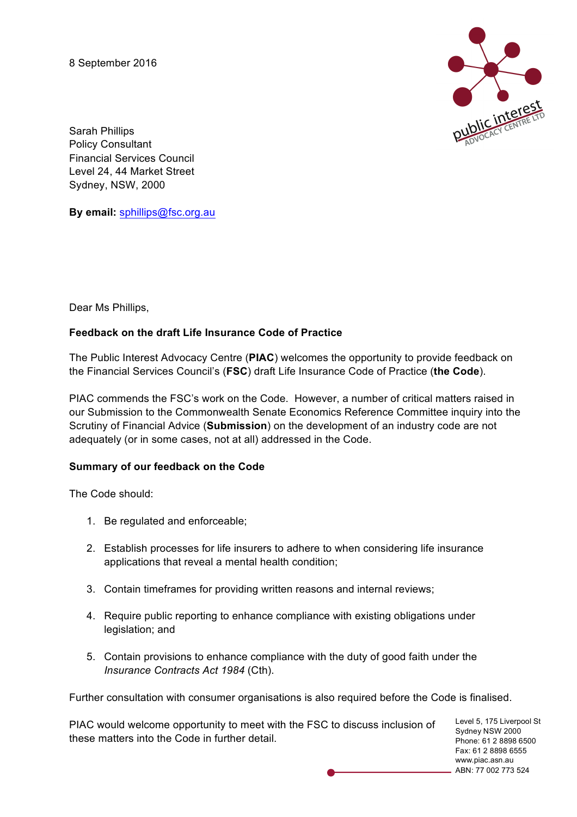8 September 2016



Sarah Phillips Policy Consultant Financial Services Council Level 24, 44 Market Street Sydney, NSW, 2000

**By email:** sphillips@fsc.org.au

Dear Ms Phillips,

# **Feedback on the draft Life Insurance Code of Practice**

The Public Interest Advocacy Centre (**PIAC**) welcomes the opportunity to provide feedback on the Financial Services Council's (**FSC**) draft Life Insurance Code of Practice (**the Code**).

PIAC commends the FSC's work on the Code. However, a number of critical matters raised in our Submission to the Commonwealth Senate Economics Reference Committee inquiry into the Scrutiny of Financial Advice (**Submission**) on the development of an industry code are not adequately (or in some cases, not at all) addressed in the Code.

### **Summary of our feedback on the Code**

The Code should:

- 1. Be regulated and enforceable;
- 2. Establish processes for life insurers to adhere to when considering life insurance applications that reveal a mental health condition;
- 3. Contain timeframes for providing written reasons and internal reviews;
- 4. Require public reporting to enhance compliance with existing obligations under legislation; and
- 5. Contain provisions to enhance compliance with the duty of good faith under the *Insurance Contracts Act 1984* (Cth).

Further consultation with consumer organisations is also required before the Code is finalised.

PIAC would welcome opportunity to meet with the FSC to discuss inclusion of these matters into the Code in further detail.

Level 5, 175 Liverpool St Sydney NSW 2000 Phone: 61 2 8898 6500 Fax: 61 2 8898 6555 www.piac.asn.au ABN: 77 002 773 524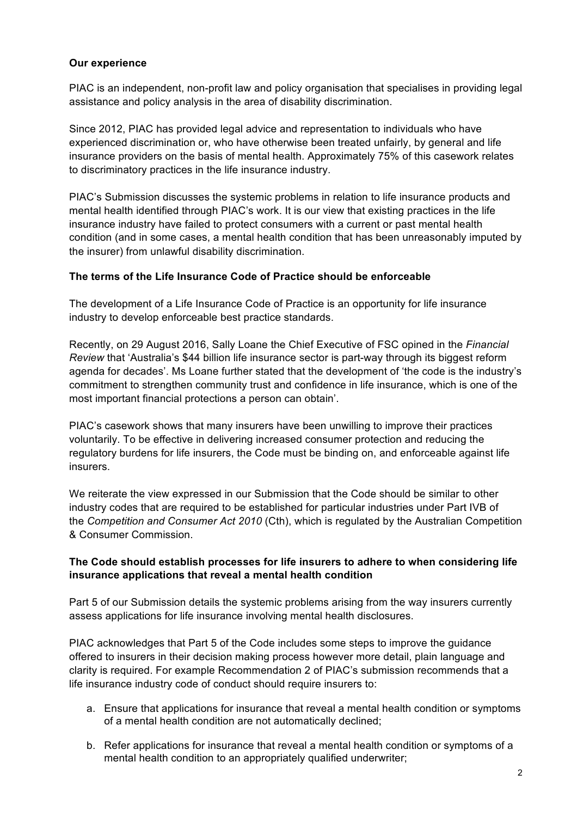# **Our experience**

PIAC is an independent, non-profit law and policy organisation that specialises in providing legal assistance and policy analysis in the area of disability discrimination.

Since 2012, PIAC has provided legal advice and representation to individuals who have experienced discrimination or, who have otherwise been treated unfairly, by general and life insurance providers on the basis of mental health. Approximately 75% of this casework relates to discriminatory practices in the life insurance industry.

PIAC's Submission discusses the systemic problems in relation to life insurance products and mental health identified through PIAC's work. It is our view that existing practices in the life insurance industry have failed to protect consumers with a current or past mental health condition (and in some cases, a mental health condition that has been unreasonably imputed by the insurer) from unlawful disability discrimination.

# **The terms of the Life Insurance Code of Practice should be enforceable**

The development of a Life Insurance Code of Practice is an opportunity for life insurance industry to develop enforceable best practice standards.

Recently, on 29 August 2016, Sally Loane the Chief Executive of FSC opined in the *Financial Review* that 'Australia's \$44 billion life insurance sector is part-way through its biggest reform agenda for decades'. Ms Loane further stated that the development of 'the code is the industry's commitment to strengthen community trust and confidence in life insurance, which is one of the most important financial protections a person can obtain'.

PIAC's casework shows that many insurers have been unwilling to improve their practices voluntarily. To be effective in delivering increased consumer protection and reducing the regulatory burdens for life insurers, the Code must be binding on, and enforceable against life insurers.

We reiterate the view expressed in our Submission that the Code should be similar to other industry codes that are required to be established for particular industries under Part IVB of the *Competition and Consumer Act 2010* (Cth), which is regulated by the Australian Competition & Consumer Commission.

# **The Code should establish processes for life insurers to adhere to when considering life insurance applications that reveal a mental health condition**

Part 5 of our Submission details the systemic problems arising from the way insurers currently assess applications for life insurance involving mental health disclosures.

PIAC acknowledges that Part 5 of the Code includes some steps to improve the guidance offered to insurers in their decision making process however more detail, plain language and clarity is required. For example Recommendation 2 of PIAC's submission recommends that a life insurance industry code of conduct should require insurers to:

- a. Ensure that applications for insurance that reveal a mental health condition or symptoms of a mental health condition are not automatically declined;
- b. Refer applications for insurance that reveal a mental health condition or symptoms of a mental health condition to an appropriately qualified underwriter;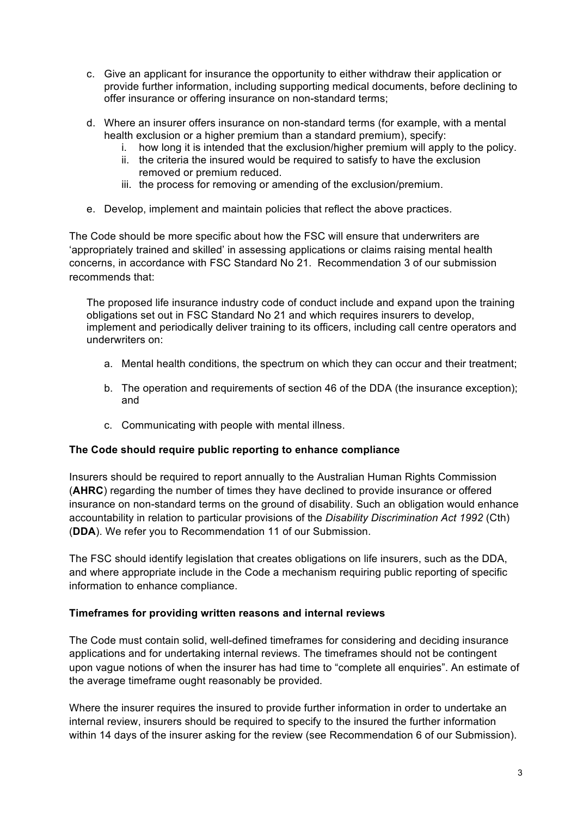- c. Give an applicant for insurance the opportunity to either withdraw their application or provide further information, including supporting medical documents, before declining to offer insurance or offering insurance on non-standard terms;
- d. Where an insurer offers insurance on non-standard terms (for example, with a mental health exclusion or a higher premium than a standard premium), specify:
	- i. how long it is intended that the exclusion/higher premium will apply to the policy.
	- ii. the criteria the insured would be required to satisfy to have the exclusion removed or premium reduced.
	- iii. the process for removing or amending of the exclusion/premium.
- e. Develop, implement and maintain policies that reflect the above practices.

The Code should be more specific about how the FSC will ensure that underwriters are 'appropriately trained and skilled' in assessing applications or claims raising mental health concerns, in accordance with FSC Standard No 21. Recommendation 3 of our submission recommends that:

The proposed life insurance industry code of conduct include and expand upon the training obligations set out in FSC Standard No 21 and which requires insurers to develop, implement and periodically deliver training to its officers, including call centre operators and underwriters on:

- a. Mental health conditions, the spectrum on which they can occur and their treatment;
- b. The operation and requirements of section 46 of the DDA (the insurance exception); and
- c. Communicating with people with mental illness.

# **The Code should require public reporting to enhance compliance**

Insurers should be required to report annually to the Australian Human Rights Commission (**AHRC**) regarding the number of times they have declined to provide insurance or offered insurance on non-standard terms on the ground of disability. Such an obligation would enhance accountability in relation to particular provisions of the *Disability Discrimination Act 1992* (Cth) (**DDA**). We refer you to Recommendation 11 of our Submission.

The FSC should identify legislation that creates obligations on life insurers, such as the DDA, and where appropriate include in the Code a mechanism requiring public reporting of specific information to enhance compliance.

### **Timeframes for providing written reasons and internal reviews**

The Code must contain solid, well-defined timeframes for considering and deciding insurance applications and for undertaking internal reviews. The timeframes should not be contingent upon vague notions of when the insurer has had time to "complete all enquiries". An estimate of the average timeframe ought reasonably be provided.

Where the insurer requires the insured to provide further information in order to undertake an internal review, insurers should be required to specify to the insured the further information within 14 days of the insurer asking for the review (see Recommendation 6 of our Submission).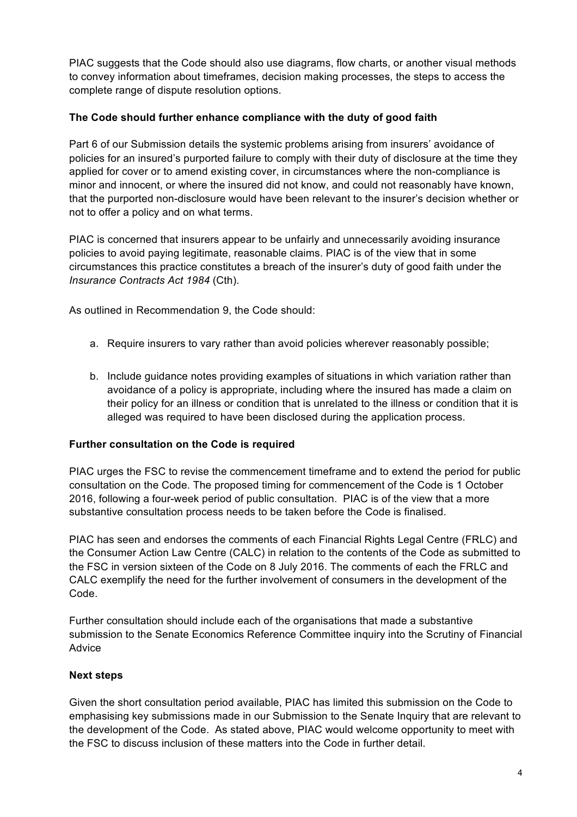PIAC suggests that the Code should also use diagrams, flow charts, or another visual methods to convey information about timeframes, decision making processes, the steps to access the complete range of dispute resolution options.

# **The Code should further enhance compliance with the duty of good faith**

Part 6 of our Submission details the systemic problems arising from insurers' avoidance of policies for an insured's purported failure to comply with their duty of disclosure at the time they applied for cover or to amend existing cover, in circumstances where the non-compliance is minor and innocent, or where the insured did not know, and could not reasonably have known, that the purported non-disclosure would have been relevant to the insurer's decision whether or not to offer a policy and on what terms.

PIAC is concerned that insurers appear to be unfairly and unnecessarily avoiding insurance policies to avoid paying legitimate, reasonable claims. PIAC is of the view that in some circumstances this practice constitutes a breach of the insurer's duty of good faith under the *Insurance Contracts Act 1984* (Cth).

As outlined in Recommendation 9, the Code should:

- a. Require insurers to vary rather than avoid policies wherever reasonably possible;
- b. Include guidance notes providing examples of situations in which variation rather than avoidance of a policy is appropriate, including where the insured has made a claim on their policy for an illness or condition that is unrelated to the illness or condition that it is alleged was required to have been disclosed during the application process.

### **Further consultation on the Code is required**

PIAC urges the FSC to revise the commencement timeframe and to extend the period for public consultation on the Code. The proposed timing for commencement of the Code is 1 October 2016, following a four-week period of public consultation. PIAC is of the view that a more substantive consultation process needs to be taken before the Code is finalised.

PIAC has seen and endorses the comments of each Financial Rights Legal Centre (FRLC) and the Consumer Action Law Centre (CALC) in relation to the contents of the Code as submitted to the FSC in version sixteen of the Code on 8 July 2016. The comments of each the FRLC and CALC exemplify the need for the further involvement of consumers in the development of the Code.

Further consultation should include each of the organisations that made a substantive submission to the Senate Economics Reference Committee inquiry into the Scrutiny of Financial Advice

# **Next steps**

Given the short consultation period available, PIAC has limited this submission on the Code to emphasising key submissions made in our Submission to the Senate Inquiry that are relevant to the development of the Code. As stated above, PIAC would welcome opportunity to meet with the FSC to discuss inclusion of these matters into the Code in further detail.